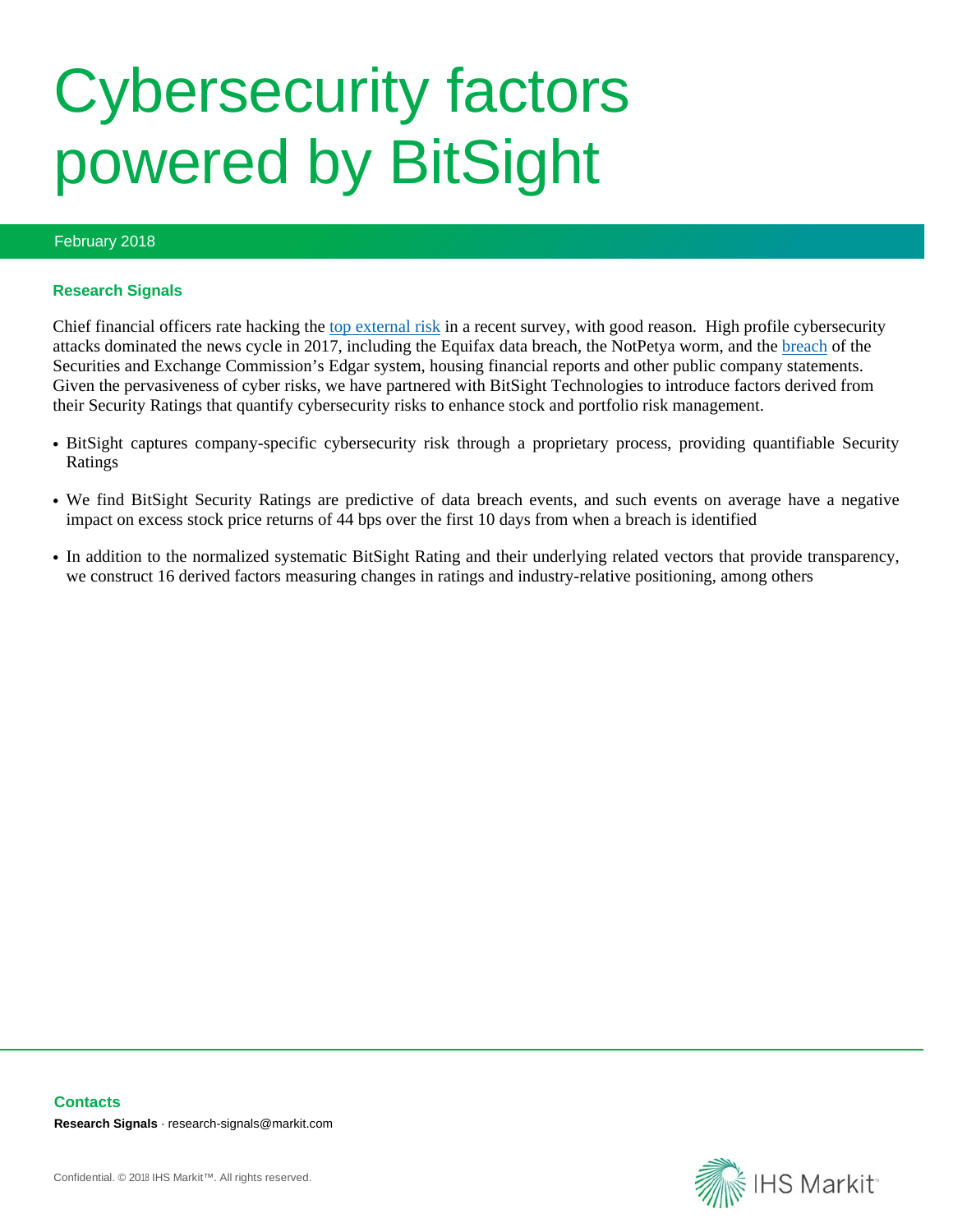# Cybersecurity factors powered by BitSight

## February 2018

#### **Research Signals**

Chief financial officers rate hacking the [top external risk](http://www.cyber.myindustrytracker.com/en/article/80778/uber-hack-shocker-highlights-no-1-external-risk-cited-by-cfos) in a recent survey, with good reason. High profile cybersecurity attacks dominated the news cycle in 2017, including the Equifax data breach, the NotPetya worm, and the [breach](https://www.washingtonpost.com/business/economy/sec-ignored-years-of-warnings-about-cybersecurity-before-massive-breach/2017/10/24/7e7507d0-adf7-11e7-be94-fabb0f1e9ffb_story.html?utm_term=.0b550c430f91) of the Securities and Exchange Commission's Edgar system, housing financial reports and other public company statements. Given the pervasiveness of cyber risks, we have partnered with BitSight Technologies to introduce factors derived from their Security Ratings that quantify cybersecurity risks to enhance stock and portfolio risk management.

- BitSight captures company-specific cybersecurity risk through a proprietary process, providing quantifiable Security Ratings
- We find BitSight Security Ratings are predictive of data breach events, and such events on average have a negative impact on excess stock price returns of 44 bps over the first 10 days from when a breach is identified
- In addition to the normalized systematic BitSight Rating and their underlying related vectors that provide transparency, we construct 16 derived factors measuring changes in ratings and industry-relative positioning, among others



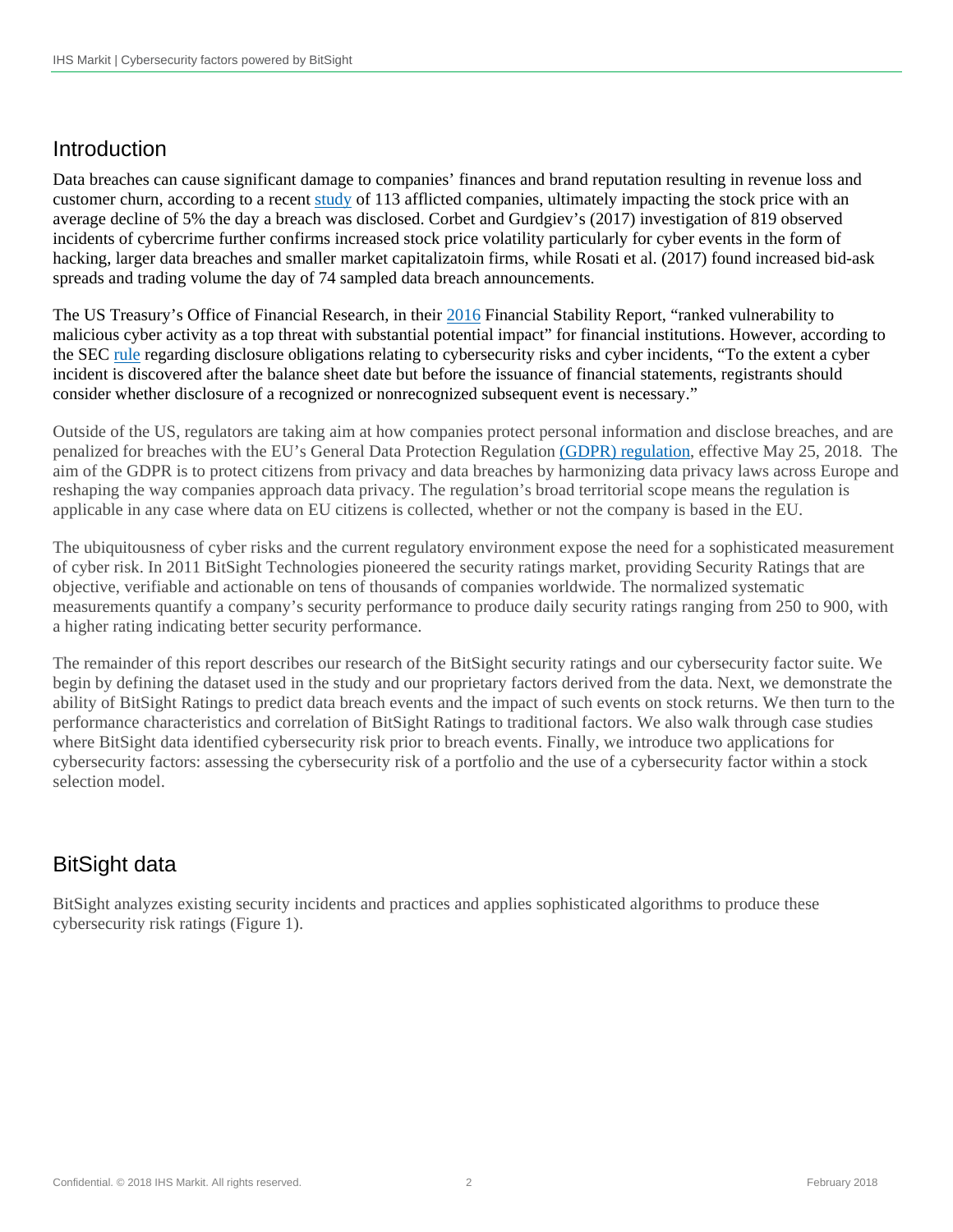# Introduction

Data breaches can cause significant damage to companies' finances and brand reputation resulting in revenue loss and customer churn, according to a recent [study](https://www.helpnetsecurity.com/2017/05/16/data-breach-stock-price/?_sm_au_=iRV00CJJ7sWDTLk8) of 113 afflicted companies, ultimately impacting the stock price with an average decline of 5% the day a breach was disclosed. Corbet and Gurdgiev's (2017) investigation of 819 observed incidents of cybercrime further confirms increased stock price volatility particularly for cyber events in the form of hacking, larger data breaches and smaller market capitalizatoin firms, while Rosati et al. (2017) found increased bid-ask spreads and trading volume the day of 74 sampled data breach announcements.

The US Treasury's Office of Financial Research, in their [2016](https://www.financialresearch.gov/financial-stability-reports/files/OFR_2016_Financial-Stability-Report.pdf) Financial Stability Report, "ranked vulnerability to malicious cyber activity as a top threat with substantial potential impact" for financial institutions. However, according to the SEC [rule](https://www.sec.gov/divisions/corpfin/guidance/cfguidance-topic2.htm) regarding disclosure obligations relating to cybersecurity risks and cyber incidents, "To the extent a cyber incident is discovered after the balance sheet date but before the issuance of financial statements, registrants should consider whether disclosure of a recognized or nonrecognized subsequent event is necessary."

Outside of the US, regulators are taking aim at how companies protect personal information and disclose breaches, and are penalized for breaches with the EU's General Data Protection Regulation [\(GDPR\) regulation,](https://www.eugdpr.org/) effective May 25, 2018. The aim of the GDPR is to protect citizens from privacy and data breaches by harmonizing data privacy laws across Europe and reshaping the way companies approach data privacy. The regulation's broad territorial scope means the regulation is applicable in any case where data on EU citizens is collected, whether or not the company is based in the EU.

The ubiquitousness of cyber risks and the current regulatory environment expose the need for a sophisticated measurement of cyber risk. In 2011 BitSight Technologies pioneered the security ratings market, providing Security Ratings that are objective, verifiable and actionable on tens of thousands of companies worldwide. The normalized systematic measurements quantify a company's security performance to produce daily security ratings ranging from 250 to 900, with a higher rating indicating better security performance.

The remainder of this report describes our research of the BitSight security ratings and our cybersecurity factor suite. We begin by defining the dataset used in the study and our proprietary factors derived from the data. Next, we demonstrate the ability of BitSight Ratings to predict data breach events and the impact of such events on stock returns. We then turn to the performance characteristics and correlation of BitSight Ratings to traditional factors. We also walk through case studies where BitSight data identified cybersecurity risk prior to breach events. Finally, we introduce two applications for cybersecurity factors: assessing the cybersecurity risk of a portfolio and the use of a cybersecurity factor within a stock selection model.

# BitSight data

BitSight analyzes existing security incidents and practices and applies sophisticated algorithms to produce these cybersecurity risk ratings (Figure 1).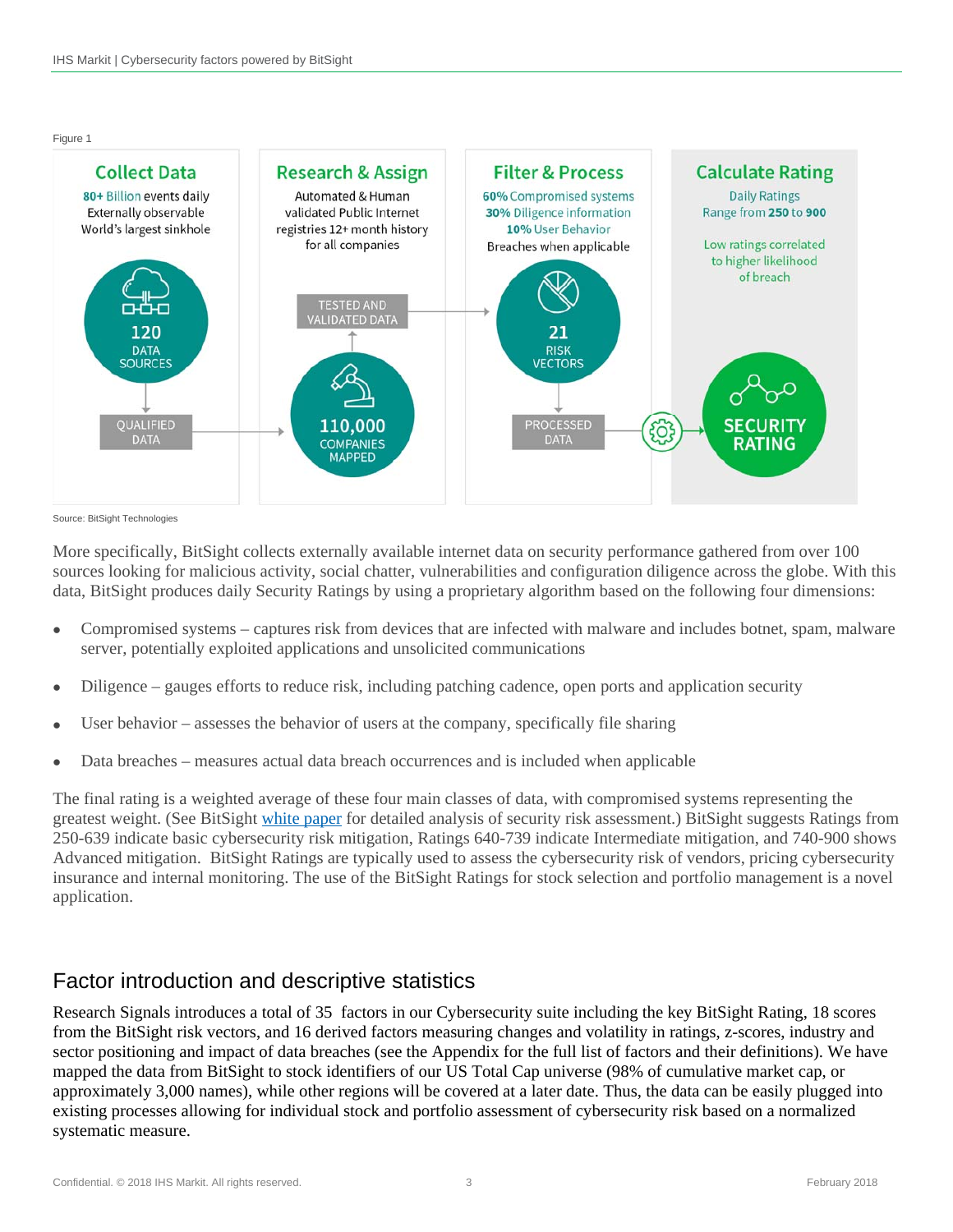Figure 1



Source: BitSight Technologies

More specifically, BitSight collects externally available internet data on security performance gathered from over 100 sources looking for malicious activity, social chatter, vulnerabilities and configuration diligence across the globe. With this data, BitSight produces daily Security Ratings by using a proprietary algorithm based on the following four dimensions:

- Compromised systems captures risk from devices that are infected with malware and includes botnet, spam, malware server, potentially exploited applications and unsolicited communications
- Diligence gauges efforts to reduce risk, including patching cadence, open ports and application security
- User behavior assesses the behavior of users at the company, specifically file sharing
- Data breaches measures actual data breach occurrences and is included when applicable

The final rating is a weighted average of these four main classes of data, with compromised systems representing the greatest weight. (See BitSight [white paper](https://info.bitsighttech.com/risky-business-assessing-security-with-external-measurements) for detailed analysis of security risk assessment.) BitSight suggests Ratings from 250-639 indicate basic cybersecurity risk mitigation, Ratings 640-739 indicate Intermediate mitigation, and 740-900 shows Advanced mitigation. BitSight Ratings are typically used to assess the cybersecurity risk of vendors, pricing cybersecurity insurance and internal monitoring. The use of the BitSight Ratings for stock selection and portfolio management is a novel application.

# Factor introduction and descriptive statistics

Research Signals introduces a total of 35 factors in our Cybersecurity suite including the key BitSight Rating, 18 scores from the BitSight risk vectors, and 16 derived factors measuring changes and volatility in ratings, z-scores, industry and sector positioning and impact of data breaches (see the Appendix for the full list of factors and their definitions). We have mapped the data from BitSight to stock identifiers of our US Total Cap universe (98% of cumulative market cap, or approximately 3,000 names), while other regions will be covered at a later date. Thus, the data can be easily plugged into existing processes allowing for individual stock and portfolio assessment of cybersecurity risk based on a normalized systematic measure.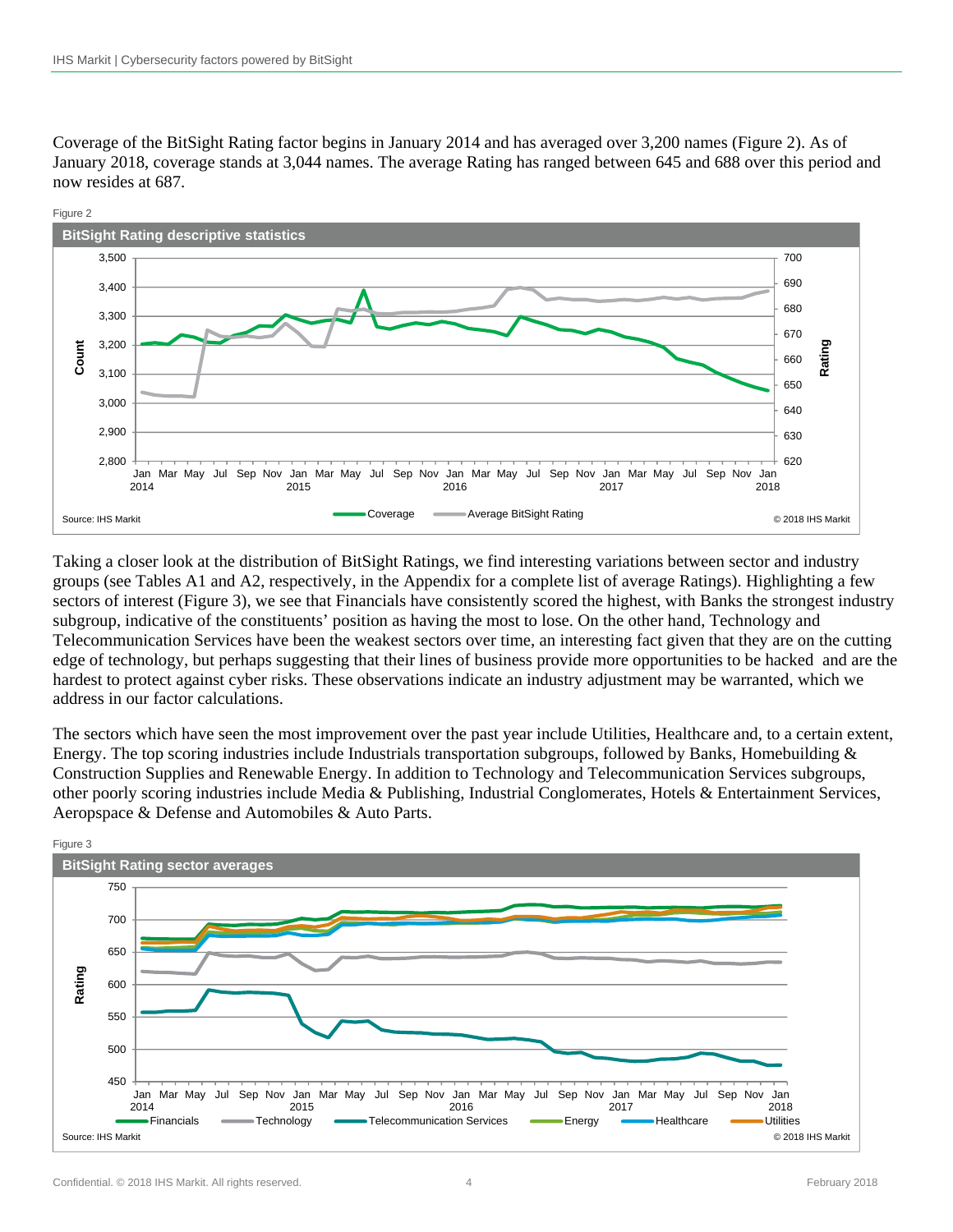Coverage of the BitSight Rating factor begins in January 2014 and has averaged over 3,200 names (Figure 2). As of January 2018, coverage stands at 3,044 names. The average Rating has ranged between 645 and 688 over this period and now resides at 687.



Taking a closer look at the distribution of BitSight Ratings, we find interesting variations between sector and industry groups (see Tables A1 and A2, respectively, in the Appendix for a complete list of average Ratings). Highlighting a few sectors of interest (Figure 3), we see that Financials have consistently scored the highest, with Banks the strongest industry subgroup, indicative of the constituents' position as having the most to lose. On the other hand, Technology and Telecommunication Services have been the weakest sectors over time, an interesting fact given that they are on the cutting edge of technology, but perhaps suggesting that their lines of business provide more opportunities to be hacked and are the hardest to protect against cyber risks. These observations indicate an industry adjustment may be warranted, which we address in our factor calculations.

The sectors which have seen the most improvement over the past year include Utilities, Healthcare and, to a certain extent, Energy. The top scoring industries include Industrials transportation subgroups, followed by Banks, Homebuilding & Construction Supplies and Renewable Energy. In addition to Technology and Telecommunication Services subgroups, other poorly scoring industries include Media & Publishing, Industrial Conglomerates, Hotels & Entertainment Services, Aeropspace & Defense and Automobiles & Auto Parts.

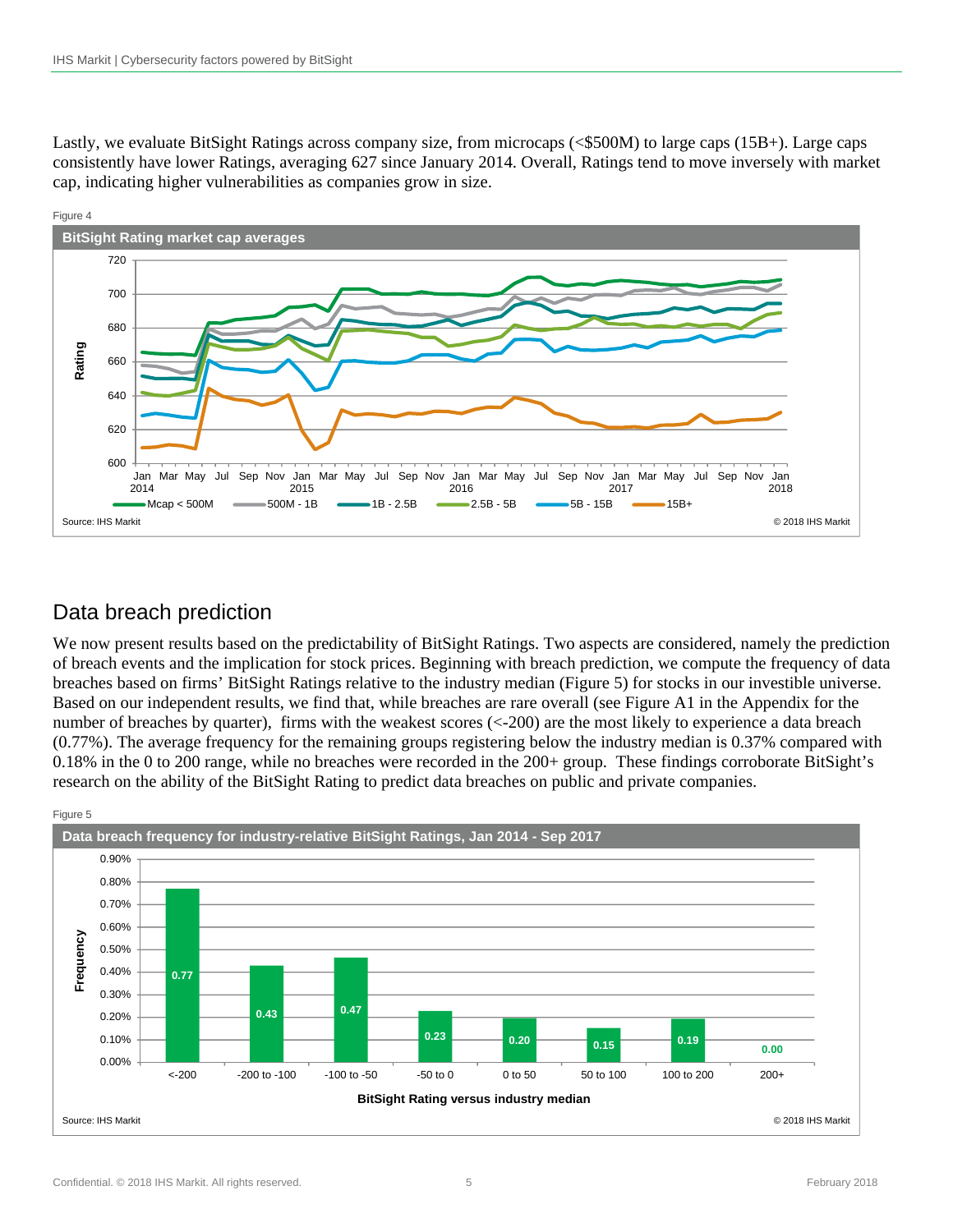Lastly, we evaluate BitSight Ratings across company size, from microcaps (<\$500M) to large caps (15B+). Large caps consistently have lower Ratings, averaging 627 since January 2014. Overall, Ratings tend to move inversely with market cap, indicating higher vulnerabilities as companies grow in size.



# Data breach prediction

We now present results based on the predictability of BitSight Ratings. Two aspects are considered, namely the prediction of breach events and the implication for stock prices. Beginning with breach prediction, we compute the frequency of data breaches based on firms' BitSight Ratings relative to the industry median (Figure 5) for stocks in our investible universe. Based on our independent results, we find that, while breaches are rare overall (see Figure A1 in the Appendix for the number of breaches by quarter), firms with the weakest scores (<-200) are the most likely to experience a data breach (0.77%). The average frequency for the remaining groups registering below the industry median is 0.37% compared with 0.18% in the 0 to 200 range, while no breaches were recorded in the 200+ group. These findings corroborate BitSight's research on the ability of the BitSight Rating to predict data breaches on public and private companies.

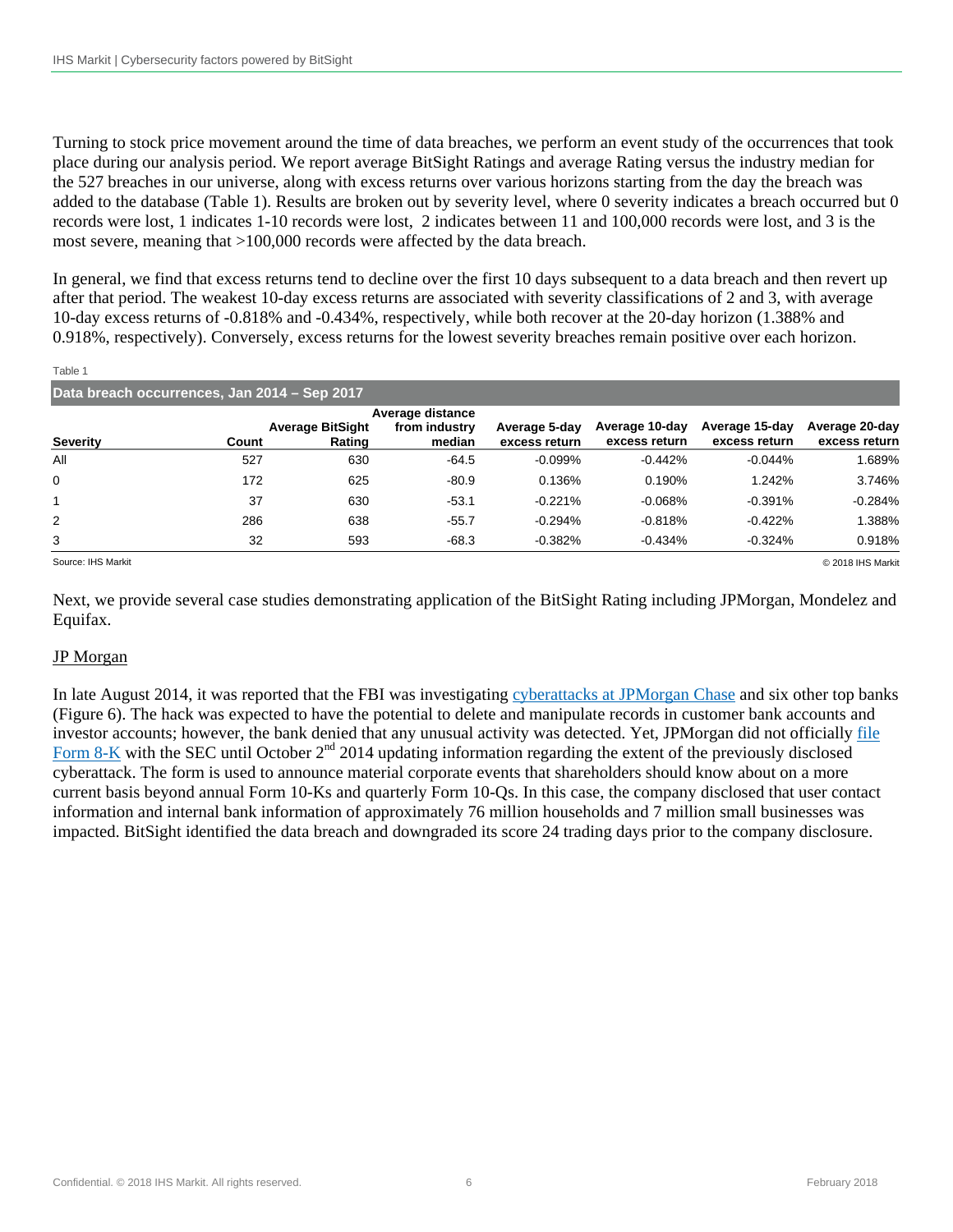Turning to stock price movement around the time of data breaches, we perform an event study of the occurrences that took place during our analysis period. We report average BitSight Ratings and average Rating versus the industry median for the 527 breaches in our universe, along with excess returns over various horizons starting from the day the breach was added to the database (Table 1). Results are broken out by severity level, where 0 severity indicates a breach occurred but 0 records were lost, 1 indicates 1-10 records were lost, 2 indicates between 11 and 100,000 records were lost, and 3 is the most severe, meaning that >100,000 records were affected by the data breach.

In general, we find that excess returns tend to decline over the first 10 days subsequent to a data breach and then revert up after that period. The weakest 10-day excess returns are associated with severity classifications of 2 and 3, with average 10-day excess returns of -0.818% and -0.434%, respectively, while both recover at the 20-day horizon (1.388% and 0.918%, respectively). Conversely, excess returns for the lowest severity breaches remain positive over each horizon.

| Table 1                                      |       |                                   |                         |                                |                                 |                                 |                                 |
|----------------------------------------------|-------|-----------------------------------|-------------------------|--------------------------------|---------------------------------|---------------------------------|---------------------------------|
| Data breach occurrences, Jan 2014 - Sep 2017 |       |                                   |                         |                                |                                 |                                 |                                 |
|                                              |       |                                   | Average distance        |                                |                                 |                                 |                                 |
| <b>Severity</b>                              | Count | <b>Average BitSight</b><br>Rating | from industry<br>median | Average 5-day<br>excess return | Average 10-day<br>excess return | Average 15-day<br>excess return | Average 20-day<br>excess return |
| All                                          | 527   | 630                               | $-64.5$                 | $-0.099%$                      | $-0.442%$                       | $-0.044%$                       | 1.689%                          |
| $\mathbf 0$                                  | 172   | 625                               | $-80.9$                 | 0.136%                         | 0.190%                          | 1.242%                          | 3.746%                          |
|                                              | 37    | 630                               | $-53.1$                 | $-0.221%$                      | $-0.068%$                       | $-0.391%$                       | $-0.284%$                       |
| 2                                            | 286   | 638                               | $-55.7$                 | $-0.294%$                      | $-0.818%$                       | $-0.422%$                       | 1.388%                          |
| 3                                            | 32    | 593                               | $-68.3$                 | $-0.382%$                      | $-0.434%$                       | $-0.324%$                       | 0.918%                          |

Source: IHS Markit © 2018 IHS Markit

Next, we provide several case studies demonstrating application of the BitSight Rating including JPMorgan, Mondelez and Equifax.

### JP Morgan

In late August 2014, it was reported that the FBI was investigating [cyberattacks at JPMorgan Chase](http://money.cnn.com/2014/08/27/investing/jpmorgan-hack-russia-putin/index.html) and six other top banks (Figure 6). The hack was expected to have the potential to delete and manipulate records in customer bank accounts and investor accounts; however, the bank denied that any unusual activity was detected. Yet, JPMorgan did not officially file Form 8-K with the SEC until October  $2<sup>nd</sup>$  2014 updating information regarding the extent of the previously disclosed cyberattack. The form is used to announce material corporate events that shareholders should know about on a more current basis beyond annual Form 10-Ks and quarterly Form 10-Qs. In this case, the company disclosed that user contact information and internal bank information of approximately 76 million households and 7 million small businesses was impacted. BitSight identified the data breach and downgraded its score 24 trading days prior to the company disclosure.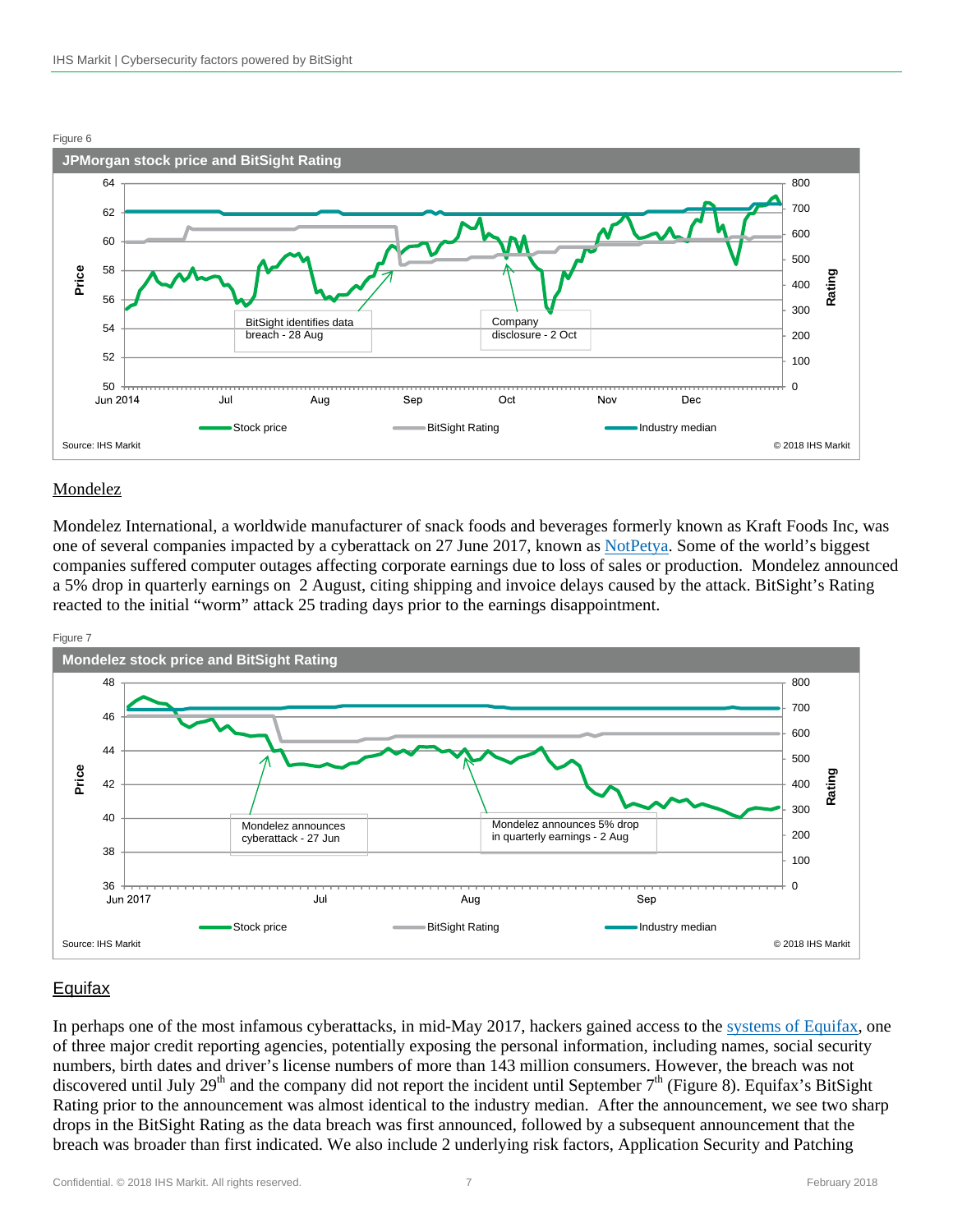

#### Mondelez

Mondelez International, a worldwide manufacturer of snack foods and beverages formerly known as Kraft Foods Inc, was one of several companies impacted by a cyberattack on 27 June 2017, known as [NotPetya.](http://fortune.com/2017/08/02/cyber-worm-attack-corporate-earnings/) Some of the world's biggest companies suffered computer outages affecting corporate earnings due to loss of sales or production. Mondelez announced a 5% drop in quarterly earnings on 2 August, citing shipping and invoice delays caused by the attack. BitSight's Rating reacted to the initial "worm" attack 25 trading days prior to the earnings disappointment.



## **Equifax**

In perhaps one of the most infamous cyberattacks, in mid-May 2017, hackers gained access to the [systems of Equifax](https://securityboulevard.com/2017/09/equifax-rated-f-application-security-breach/), one of three major credit reporting agencies, potentially exposing the personal information, including names, social security numbers, birth dates and driver's license numbers of more than 143 million consumers. However, the breach was not discovered until July 29<sup>th</sup> and the company did not report the incident until September  $7<sup>th</sup>$  (Figure 8). Equifax's BitSight Rating prior to the announcement was almost identical to the industry median. After the announcement, we see two sharp drops in the BitSight Rating as the data breach was first announced, followed by a subsequent announcement that the breach was broader than first indicated. We also include 2 underlying risk factors, Application Security and Patching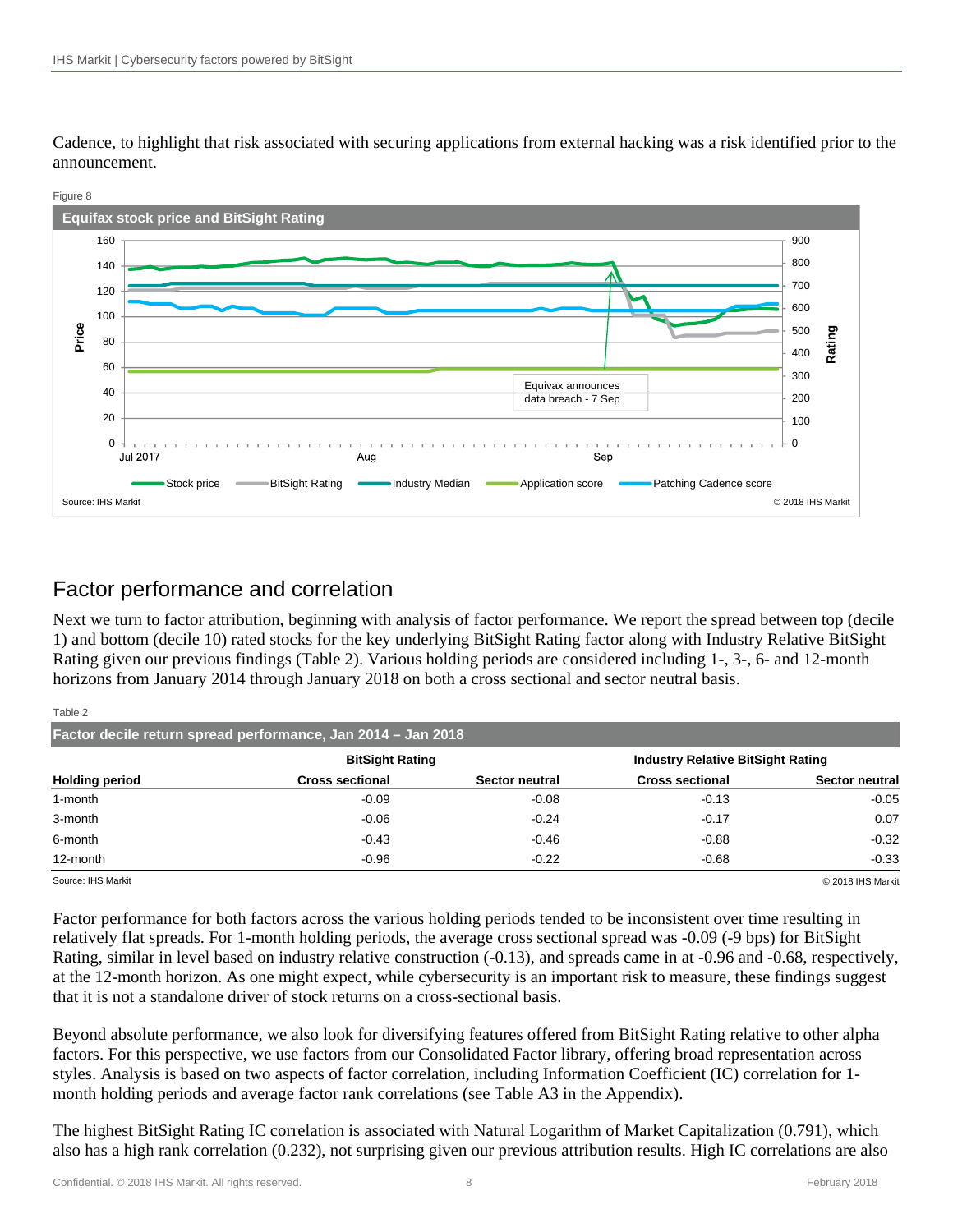Cadence, to highlight that risk associated with securing applications from external hacking was a risk identified prior to the announcement.



# Factor performance and correlation

Next we turn to factor attribution, beginning with analysis of factor performance. We report the spread between top (decile 1) and bottom (decile 10) rated stocks for the key underlying BitSight Rating factor along with Industry Relative BitSight Rating given our previous findings (Table 2). Various holding periods are considered including 1-, 3-, 6- and 12-month horizons from January 2014 through January 2018 on both a cross sectional and sector neutral basis.

| Table 2                                                      |                        |                |                                          |                |  |  |
|--------------------------------------------------------------|------------------------|----------------|------------------------------------------|----------------|--|--|
| Factor decile return spread performance, Jan 2014 - Jan 2018 |                        |                |                                          |                |  |  |
|                                                              | <b>BitSight Rating</b> |                | <b>Industry Relative BitSight Rating</b> |                |  |  |
| <b>Holding period</b>                                        | <b>Cross sectional</b> | Sector neutral | <b>Cross sectional</b>                   | Sector neutral |  |  |
| 1-month                                                      | $-0.09$                | $-0.08$        | $-0.13$                                  | $-0.05$        |  |  |
| 3-month                                                      | $-0.06$                | $-0.24$        | $-0.17$                                  | 0.07           |  |  |
| 6-month                                                      | $-0.43$                | $-0.46$        | $-0.88$                                  | $-0.32$        |  |  |
| 12-month                                                     | $-0.96$                | $-0.22$        | $-0.68$                                  | $-0.33$        |  |  |
|                                                              |                        |                |                                          |                |  |  |

Source: IHS Markit © 2018 IHS Markit

Factor performance for both factors across the various holding periods tended to be inconsistent over time resulting in relatively flat spreads. For 1-month holding periods, the average cross sectional spread was -0.09 (-9 bps) for BitSight Rating, similar in level based on industry relative construction (-0.13), and spreads came in at -0.96 and -0.68, respectively, at the 12-month horizon. As one might expect, while cybersecurity is an important risk to measure, these findings suggest that it is not a standalone driver of stock returns on a cross-sectional basis.

Beyond absolute performance, we also look for diversifying features offered from BitSight Rating relative to other alpha factors. For this perspective, we use factors from our Consolidated Factor library, offering broad representation across styles. Analysis is based on two aspects of factor correlation, including Information Coefficient (IC) correlation for 1 month holding periods and average factor rank correlations (see Table A3 in the Appendix).

The highest BitSight Rating IC correlation is associated with Natural Logarithm of Market Capitalization (0.791), which also has a high rank correlation (0.232), not surprising given our previous attribution results. High IC correlations are also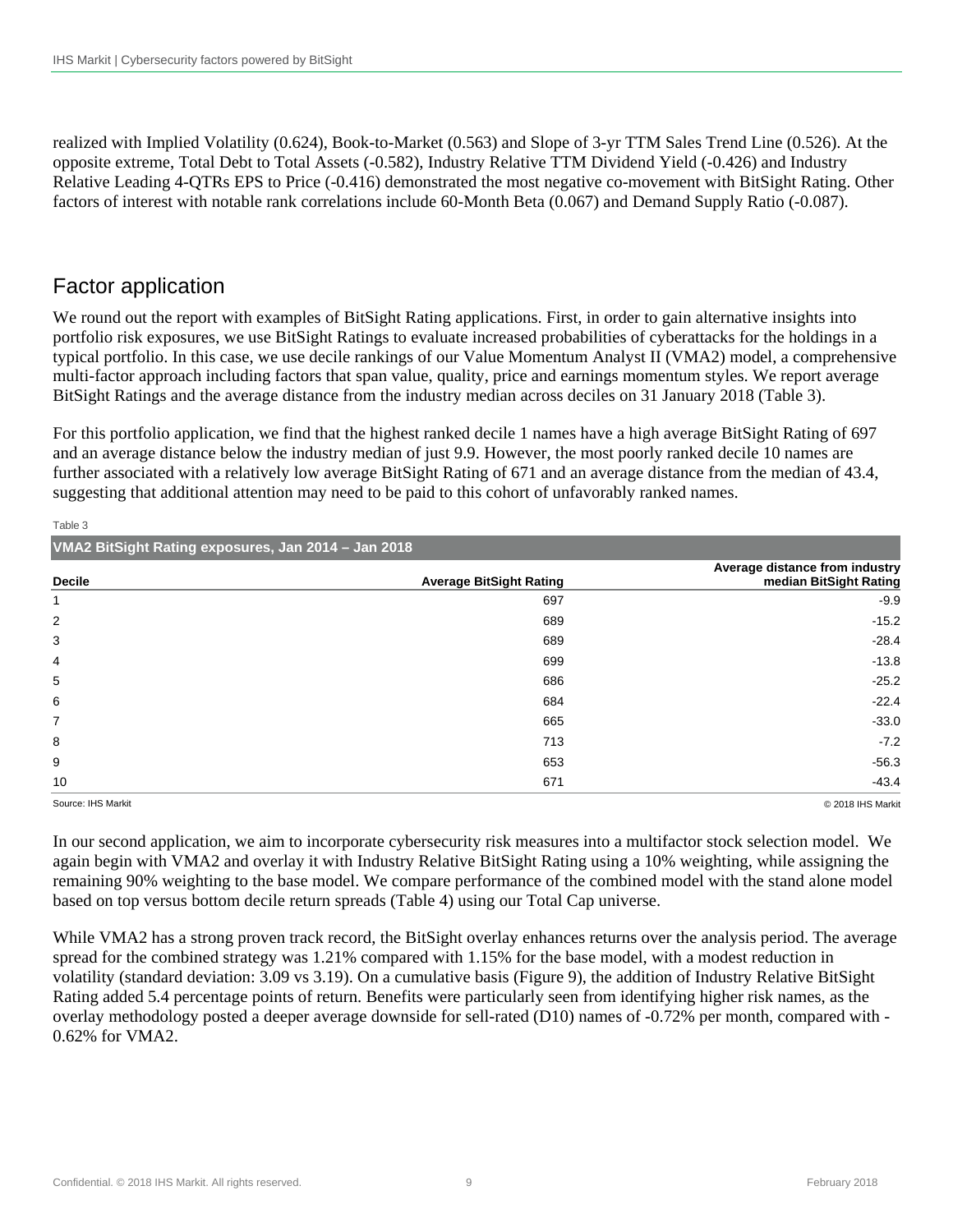realized with Implied Volatility (0.624), Book-to-Market (0.563) and Slope of 3-yr TTM Sales Trend Line (0.526). At the opposite extreme, Total Debt to Total Assets (-0.582), Industry Relative TTM Dividend Yield (-0.426) and Industry Relative Leading 4-QTRs EPS to Price (-0.416) demonstrated the most negative co-movement with BitSight Rating. Other factors of interest with notable rank correlations include 60-Month Beta (0.067) and Demand Supply Ratio (-0.087).

# Factor application

We round out the report with examples of BitSight Rating applications. First, in order to gain alternative insights into portfolio risk exposures, we use BitSight Ratings to evaluate increased probabilities of cyberattacks for the holdings in a typical portfolio. In this case, we use decile rankings of our Value Momentum Analyst II (VMA2) model, a comprehensive multi-factor approach including factors that span value, quality, price and earnings momentum styles. We report average BitSight Ratings and the average distance from the industry median across deciles on 31 January 2018 (Table 3).

For this portfolio application, we find that the highest ranked decile 1 names have a high average BitSight Rating of 697 and an average distance below the industry median of just 9.9. However, the most poorly ranked decile 10 names are further associated with a relatively low average BitSight Rating of 671 and an average distance from the median of 43.4, suggesting that additional attention may need to be paid to this cohort of unfavorably ranked names.

| $\sim$                                              |                                |                                                          |  |  |
|-----------------------------------------------------|--------------------------------|----------------------------------------------------------|--|--|
| VMA2 BitSight Rating exposures, Jan 2014 - Jan 2018 |                                |                                                          |  |  |
| <b>Decile</b>                                       | <b>Average BitSight Rating</b> | Average distance from industry<br>median BitSight Rating |  |  |
|                                                     | 697                            | $-9.9$                                                   |  |  |
| 2                                                   | 689                            | $-15.2$                                                  |  |  |
| 3                                                   | 689                            | $-28.4$                                                  |  |  |
| 4                                                   | 699                            | $-13.8$                                                  |  |  |
| 5                                                   | 686                            | $-25.2$                                                  |  |  |
| 6                                                   | 684                            | $-22.4$                                                  |  |  |
| $\overline{7}$                                      | 665                            | $-33.0$                                                  |  |  |
| 8                                                   | 713                            | $-7.2$                                                   |  |  |
| 9                                                   | 653                            | $-56.3$                                                  |  |  |
| 10                                                  | 671                            | $-43.4$                                                  |  |  |

Table 3

Source: IHS Markit © 2018 IHS Markit

In our second application, we aim to incorporate cybersecurity risk measures into a multifactor stock selection model. We again begin with VMA2 and overlay it with Industry Relative BitSight Rating using a 10% weighting, while assigning the remaining 90% weighting to the base model. We compare performance of the combined model with the stand alone model based on top versus bottom decile return spreads (Table 4) using our Total Cap universe.

While VMA2 has a strong proven track record, the BitSight overlay enhances returns over the analysis period. The average spread for the combined strategy was 1.21% compared with 1.15% for the base model, with a modest reduction in volatility (standard deviation: 3.09 vs 3.19). On a cumulative basis (Figure 9), the addition of Industry Relative BitSight Rating added 5.4 percentage points of return. Benefits were particularly seen from identifying higher risk names, as the overlay methodology posted a deeper average downside for sell-rated (D10) names of -0.72% per month, compared with - 0.62% for VMA2.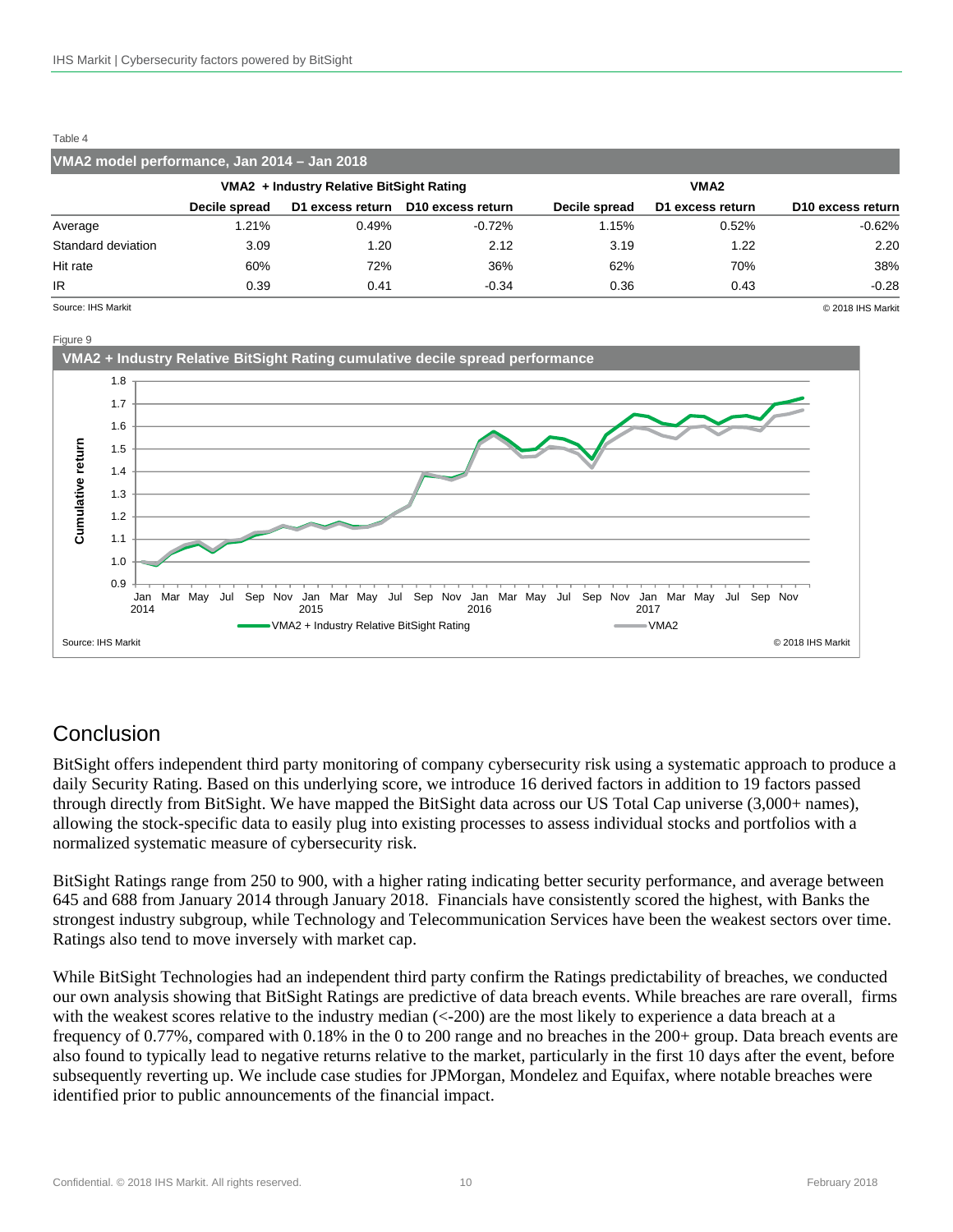#### Table 4

| VMA2 model performance, Jan 2014 - Jan 2018      |               |       |                                    |               |                  |                               |
|--------------------------------------------------|---------------|-------|------------------------------------|---------------|------------------|-------------------------------|
| VMA2 + Industry Relative BitSight Rating<br>VMA2 |               |       |                                    |               |                  |                               |
|                                                  | Decile spread |       | D1 excess return D10 excess return | Decile spread | D1 excess return | D <sub>10</sub> excess return |
| Average                                          | .21%          | 0.49% | $-0.72%$                           | 1.15%         | 0.52%            | $-0.62%$                      |
| Standard deviation                               | 3.09          | 1.20  | 2.12                               | 3.19          | 1.22             | 2.20                          |
| Hit rate                                         | 60%           | 72%   | 36%                                | 62%           | 70%              | 38%                           |
| IR.                                              | 0.39          | 0.41  | $-0.34$                            | 0.36          | 0.43             | $-0.28$                       |

Source: IHS Markit © 2018 IHS Markit



# Conclusion

BitSight offers independent third party monitoring of company cybersecurity risk using a systematic approach to produce a daily Security Rating. Based on this underlying score, we introduce 16 derived factors in addition to 19 factors passed through directly from BitSight. We have mapped the BitSight data across our US Total Cap universe (3,000+ names), allowing the stock-specific data to easily plug into existing processes to assess individual stocks and portfolios with a normalized systematic measure of cybersecurity risk.

BitSight Ratings range from 250 to 900, with a higher rating indicating better security performance, and average between 645 and 688 from January 2014 through January 2018. Financials have consistently scored the highest, with Banks the strongest industry subgroup, while Technology and Telecommunication Services have been the weakest sectors over time. Ratings also tend to move inversely with market cap.

While BitSight Technologies had an independent third party confirm the Ratings predictability of breaches, we conducted our own analysis showing that BitSight Ratings are predictive of data breach events. While breaches are rare overall, firms with the weakest scores relative to the industry median  $\left($  < -200) are the most likely to experience a data breach at a frequency of 0.77%, compared with 0.18% in the 0 to 200 range and no breaches in the 200+ group. Data breach events are also found to typically lead to negative returns relative to the market, particularly in the first 10 days after the event, before subsequently reverting up. We include case studies for JPMorgan, Mondelez and Equifax, where notable breaches were identified prior to public announcements of the financial impact.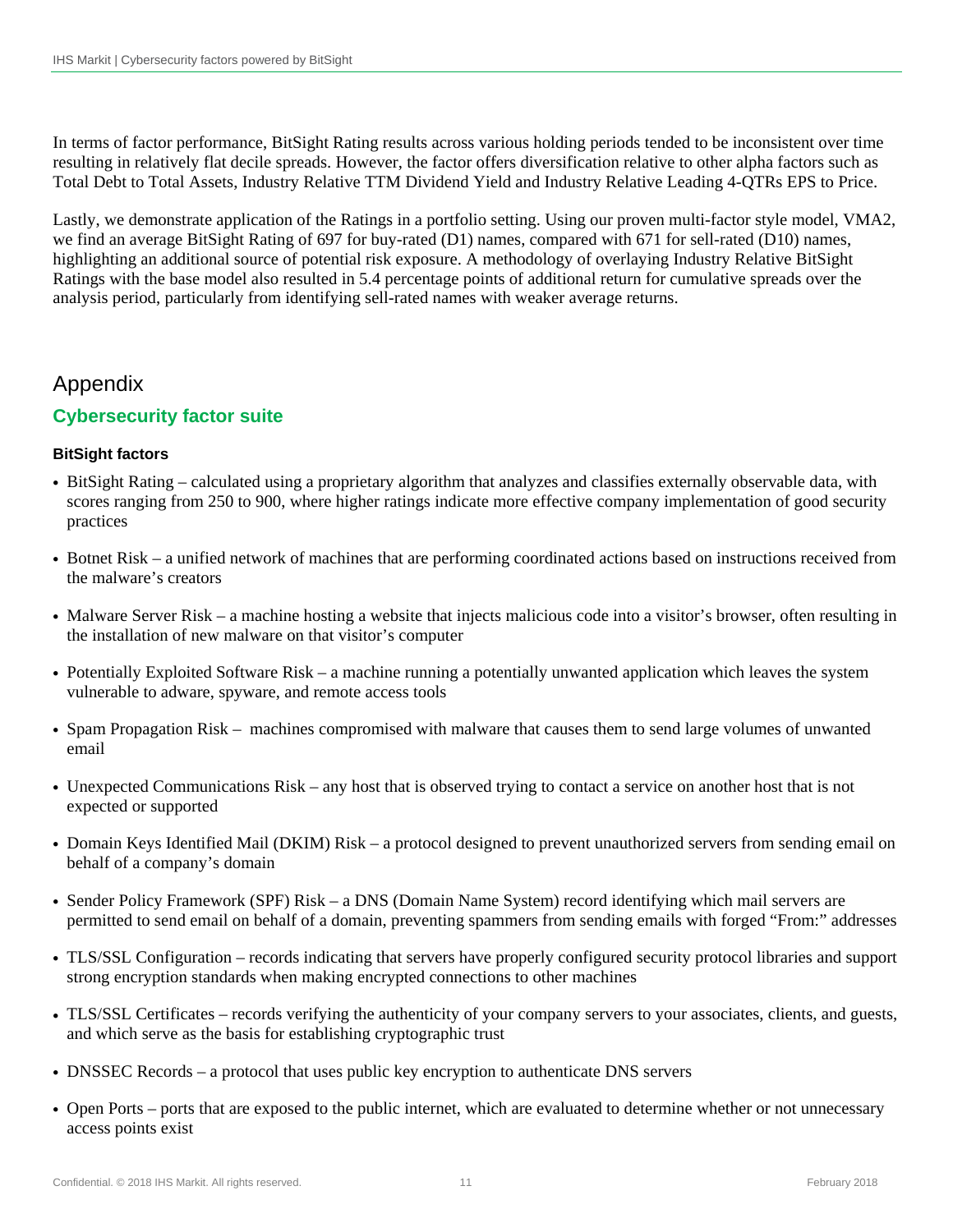In terms of factor performance, BitSight Rating results across various holding periods tended to be inconsistent over time resulting in relatively flat decile spreads. However, the factor offers diversification relative to other alpha factors such as Total Debt to Total Assets, Industry Relative TTM Dividend Yield and Industry Relative Leading 4-QTRs EPS to Price.

Lastly, we demonstrate application of the Ratings in a portfolio setting. Using our proven multi-factor style model, VMA2, we find an average BitSight Rating of 697 for buy-rated (D1) names, compared with 671 for sell-rated (D10) names, highlighting an additional source of potential risk exposure. A methodology of overlaying Industry Relative BitSight Ratings with the base model also resulted in 5.4 percentage points of additional return for cumulative spreads over the analysis period, particularly from identifying sell-rated names with weaker average returns.

# Appendix

## **Cybersecurity factor suite**

### **BitSight factors**

- BitSight Rating calculated using a proprietary algorithm that analyzes and classifies externally observable data, with scores ranging from 250 to 900, where higher ratings indicate more effective company implementation of good security practices
- Botnet Risk a unified network of machines that are performing coordinated actions based on instructions received from the malware's creators
- Malware Server Risk a machine hosting a website that injects malicious code into a visitor's browser, often resulting in the installation of new malware on that visitor's computer
- Potentially Exploited Software Risk a machine running a potentially unwanted application which leaves the system vulnerable to adware, spyware, and remote access tools
- Spam Propagation Risk machines compromised with malware that causes them to send large volumes of unwanted email
- Unexpected Communications Risk any host that is observed trying to contact a service on another host that is not expected or supported
- Domain Keys Identified Mail (DKIM) Risk a protocol designed to prevent unauthorized servers from sending email on behalf of a company's domain
- Sender Policy Framework (SPF) Risk a DNS (Domain Name System) record identifying which mail servers are permitted to send email on behalf of a domain, preventing spammers from sending emails with forged "From:" addresses
- TLS/SSL Configuration records indicating that servers have properly configured security protocol libraries and support strong encryption standards when making encrypted connections to other machines
- TLS/SSL Certificates records verifying the authenticity of your company servers to your associates, clients, and guests, and which serve as the basis for establishing cryptographic trust
- DNSSEC Records a protocol that uses public key encryption to authenticate DNS servers
- Open Ports ports that are exposed to the public internet, which are evaluated to determine whether or not unnecessary access points exist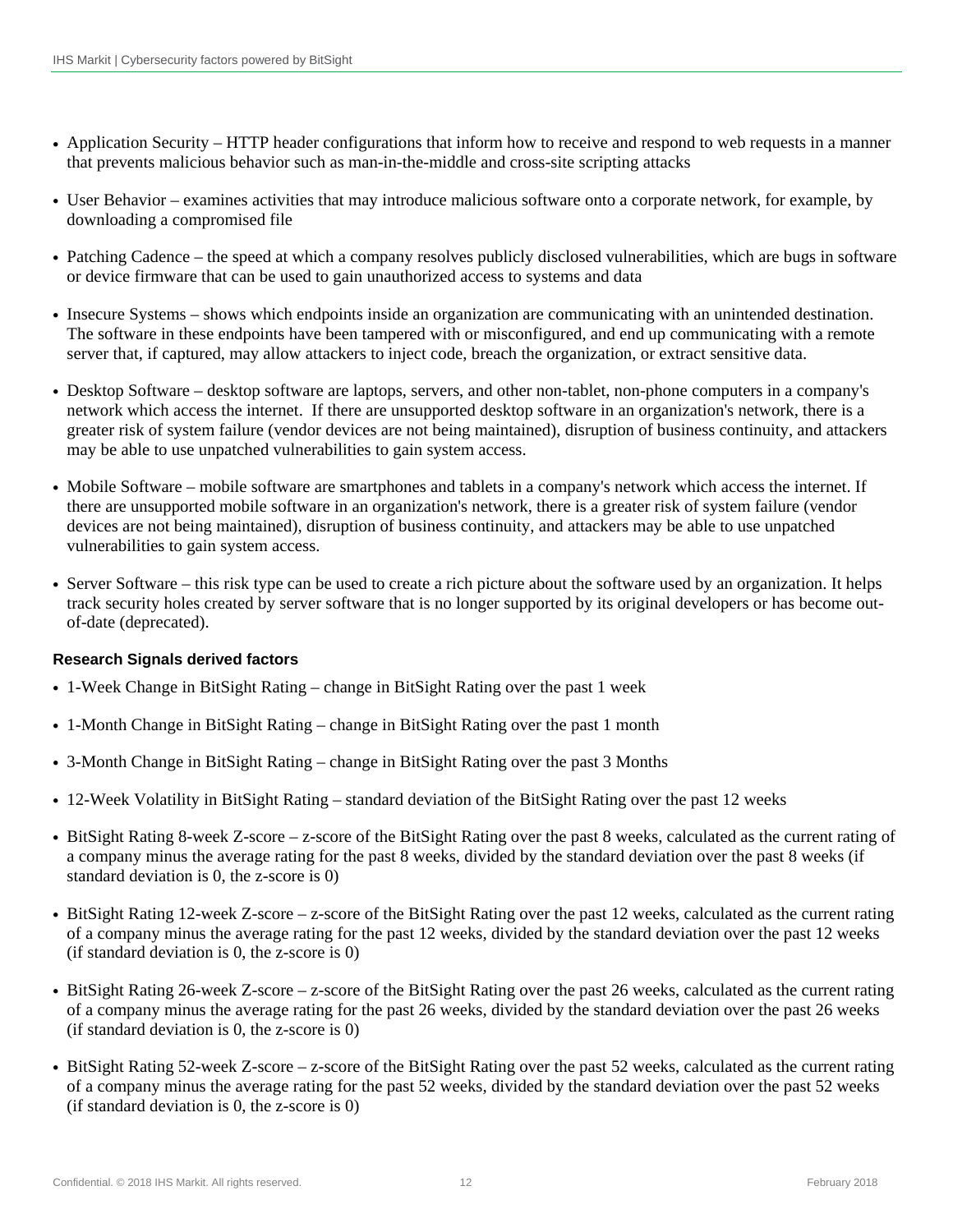- Application Security HTTP header configurations that inform how to receive and respond to web requests in a manner that prevents malicious behavior such as man-in-the-middle and cross-site scripting attacks
- User Behavior examines activities that may introduce malicious software onto a corporate network, for example, by downloading a compromised file
- Patching Cadence the speed at which a company resolves publicly disclosed vulnerabilities, which are bugs in software or device firmware that can be used to gain unauthorized access to systems and data
- Insecure Systems shows which endpoints inside an organization are communicating with an unintended destination. The software in these endpoints have been tampered with or misconfigured, and end up communicating with a remote server that, if captured, may allow attackers to inject code, breach the organization, or extract sensitive data.
- Desktop Software desktop software are laptops, servers, and other non-tablet, non-phone computers in a company's network which access the internet. If there are unsupported desktop software in an organization's network, there is a greater risk of system failure (vendor devices are not being maintained), disruption of business continuity, and attackers may be able to use unpatched vulnerabilities to gain system access.
- Mobile Software mobile software are smartphones and tablets in a company's network which access the internet. If there are unsupported mobile software in an organization's network, there is a greater risk of system failure (vendor devices are not being maintained), disruption of business continuity, and attackers may be able to use unpatched vulnerabilities to gain system access.
- Server Software this risk type can be used to create a rich picture about the software used by an organization. It helps track security holes created by server software that is no longer supported by its original developers or has become outof-date (deprecated).

### **Research Signals derived factors**

- 1-Week Change in BitSight Rating change in BitSight Rating over the past 1 week
- 1-Month Change in BitSight Rating change in BitSight Rating over the past 1 month
- 3-Month Change in BitSight Rating change in BitSight Rating over the past 3 Months
- 12-Week Volatility in BitSight Rating standard deviation of the BitSight Rating over the past 12 weeks
- BitSight Rating 8-week Z-score z-score of the BitSight Rating over the past 8 weeks, calculated as the current rating of a company minus the average rating for the past 8 weeks, divided by the standard deviation over the past 8 weeks (if standard deviation is 0, the z-score is 0)
- BitSight Rating 12-week Z-score z-score of the BitSight Rating over the past 12 weeks, calculated as the current rating of a company minus the average rating for the past 12 weeks, divided by the standard deviation over the past 12 weeks (if standard deviation is 0, the z-score is 0)
- BitSight Rating 26-week Z-score z-score of the BitSight Rating over the past 26 weeks, calculated as the current rating of a company minus the average rating for the past 26 weeks, divided by the standard deviation over the past 26 weeks (if standard deviation is 0, the z-score is 0)
- BitSight Rating 52-week Z-score z-score of the BitSight Rating over the past 52 weeks, calculated as the current rating of a company minus the average rating for the past 52 weeks, divided by the standard deviation over the past 52 weeks (if standard deviation is 0, the z-score is 0)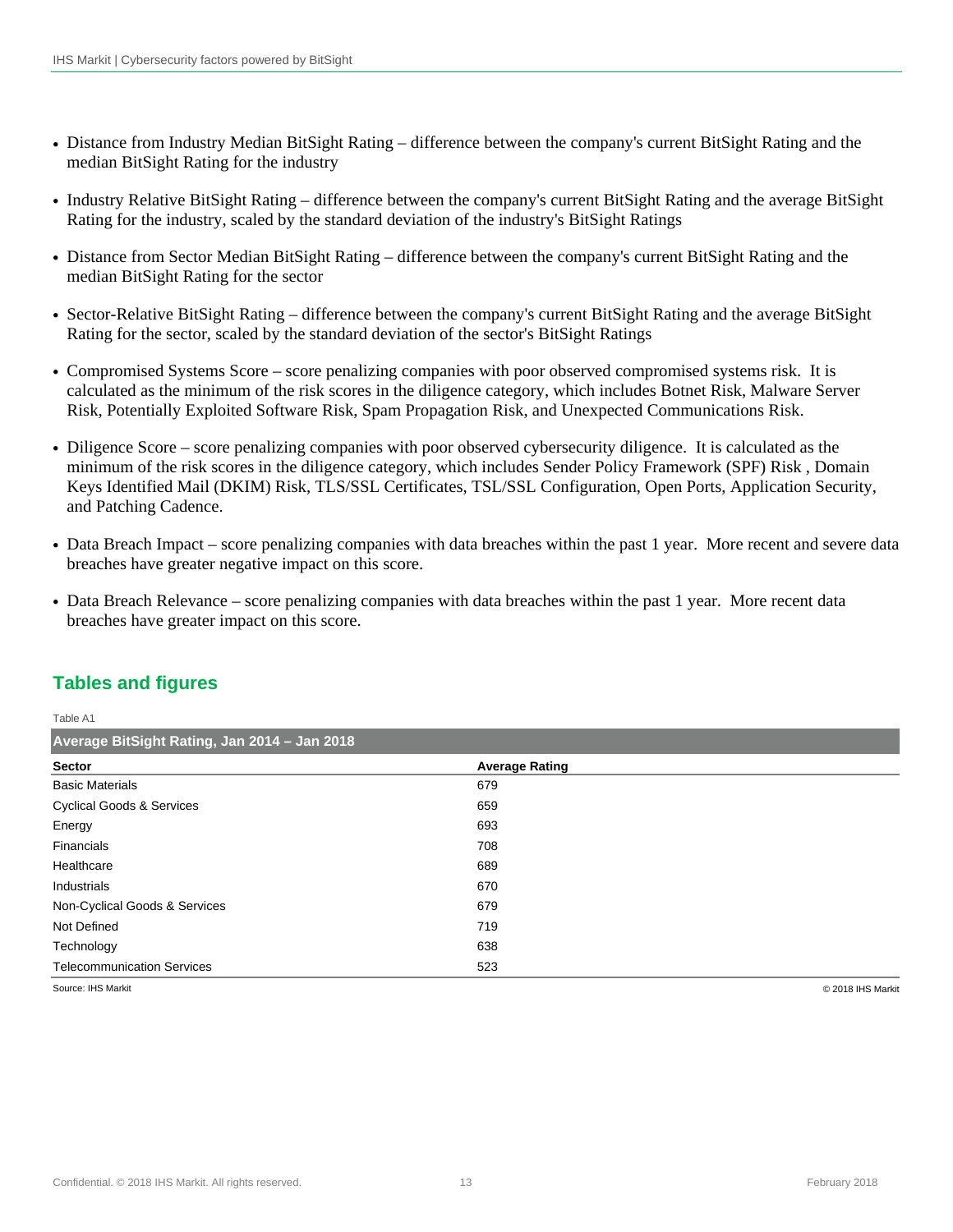- Distance from Industry Median BitSight Rating difference between the company's current BitSight Rating and the median BitSight Rating for the industry
- Industry Relative BitSight Rating difference between the company's current BitSight Rating and the average BitSight Rating for the industry, scaled by the standard deviation of the industry's BitSight Ratings
- Distance from Sector Median BitSight Rating difference between the company's current BitSight Rating and the median BitSight Rating for the sector
- Sector-Relative BitSight Rating difference between the company's current BitSight Rating and the average BitSight Rating for the sector, scaled by the standard deviation of the sector's BitSight Ratings
- Compromised Systems Score score penalizing companies with poor observed compromised systems risk. It is calculated as the minimum of the risk scores in the diligence category, which includes Botnet Risk, Malware Server Risk, Potentially Exploited Software Risk, Spam Propagation Risk, and Unexpected Communications Risk.
- Diligence Score score penalizing companies with poor observed cybersecurity diligence. It is calculated as the minimum of the risk scores in the diligence category, which includes Sender Policy Framework (SPF) Risk , Domain Keys Identified Mail (DKIM) Risk, TLS/SSL Certificates, TSL/SSL Configuration, Open Ports, Application Security, and Patching Cadence.
- Data Breach Impact score penalizing companies with data breaches within the past 1 year. More recent and severe data breaches have greater negative impact on this score.
- Data Breach Relevance score penalizing companies with data breaches within the past 1 year. More recent data breaches have greater impact on this score.

## **Tables and figures**

| Table A1                                     |                       |  |  |  |
|----------------------------------------------|-----------------------|--|--|--|
| Average BitSight Rating, Jan 2014 - Jan 2018 |                       |  |  |  |
| <b>Sector</b>                                | <b>Average Rating</b> |  |  |  |
| <b>Basic Materials</b>                       | 679                   |  |  |  |
| <b>Cyclical Goods &amp; Services</b>         | 659                   |  |  |  |
| Energy                                       | 693                   |  |  |  |
| Financials                                   | 708                   |  |  |  |
| Healthcare                                   | 689                   |  |  |  |
| Industrials                                  | 670                   |  |  |  |
| Non-Cyclical Goods & Services                | 679                   |  |  |  |
| Not Defined                                  | 719                   |  |  |  |
| Technology                                   | 638                   |  |  |  |
| <b>Telecommunication Services</b>            | 523                   |  |  |  |

Source: IHS Markit © 2018 IHS Markit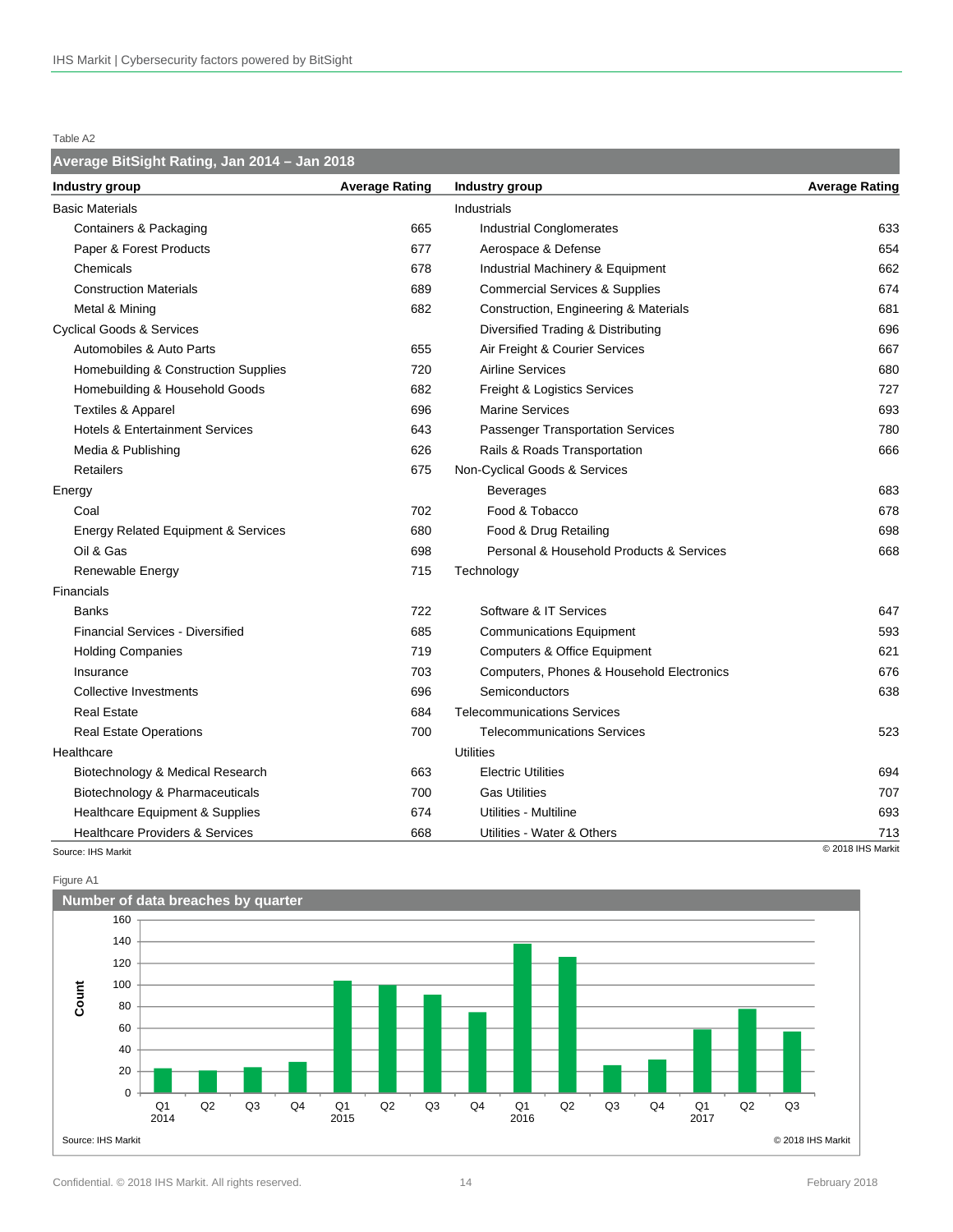#### Table A2

#### **Average BitSight Rating, Jan 2014 – Jan 2018**

| Industry group                                 | <b>Average Rating</b> | Industry group                            | <b>Average Rating</b> |
|------------------------------------------------|-----------------------|-------------------------------------------|-----------------------|
| <b>Basic Materials</b>                         |                       | Industrials                               |                       |
| <b>Containers &amp; Packaging</b>              | 665                   | <b>Industrial Conglomerates</b>           | 633                   |
| Paper & Forest Products                        | 677                   | Aerospace & Defense                       | 654                   |
| Chemicals                                      | 678                   | Industrial Machinery & Equipment          | 662                   |
| <b>Construction Materials</b>                  | 689                   | <b>Commercial Services &amp; Supplies</b> | 674                   |
| Metal & Mining                                 | 682                   | Construction, Engineering & Materials     | 681                   |
| <b>Cyclical Goods &amp; Services</b>           |                       | Diversified Trading & Distributing        | 696                   |
| Automobiles & Auto Parts                       | 655                   | Air Freight & Courier Services            | 667                   |
| Homebuilding & Construction Supplies           | 720                   | <b>Airline Services</b>                   | 680                   |
| Homebuilding & Household Goods                 | 682                   | Freight & Logistics Services              | 727                   |
| <b>Textiles &amp; Apparel</b>                  | 696                   | <b>Marine Services</b>                    | 693                   |
| <b>Hotels &amp; Entertainment Services</b>     | 643                   | <b>Passenger Transportation Services</b>  | 780                   |
| Media & Publishing                             | 626                   | Rails & Roads Transportation              | 666                   |
| Retailers                                      | 675                   | Non-Cyclical Goods & Services             |                       |
| Energy                                         |                       | Beverages                                 | 683                   |
| Coal                                           | 702                   | Food & Tobacco                            | 678                   |
| <b>Energy Related Equipment &amp; Services</b> | 680                   | Food & Drug Retailing                     | 698                   |
| Oil & Gas                                      | 698                   | Personal & Household Products & Services  | 668                   |
| Renewable Energy                               | 715                   | Technology                                |                       |
| Financials                                     |                       |                                           |                       |
| <b>Banks</b>                                   | 722                   | Software & IT Services                    | 647                   |
| <b>Financial Services - Diversified</b>        | 685                   | <b>Communications Equipment</b>           | 593                   |
| <b>Holding Companies</b>                       | 719                   | <b>Computers &amp; Office Equipment</b>   | 621                   |
| Insurance                                      | 703                   | Computers, Phones & Household Electronics | 676                   |
| Collective Investments                         | 696                   | Semiconductors                            | 638                   |
| <b>Real Estate</b>                             | 684                   | <b>Telecommunications Services</b>        |                       |
| Real Estate Operations                         | 700                   | <b>Telecommunications Services</b>        | 523                   |
| Healthcare                                     |                       | Utilities                                 |                       |
| Biotechnology & Medical Research               | 663                   | <b>Electric Utilities</b>                 | 694                   |
| Biotechnology & Pharmaceuticals                | 700                   | <b>Gas Utilities</b>                      | 707                   |
| <b>Healthcare Equipment &amp; Supplies</b>     | 674                   | Utilities - Multiline                     | 693                   |
| <b>Healthcare Providers &amp; Services</b>     | 668                   | Utilities - Water & Others                | 713                   |
| Source: IHS Markit                             |                       |                                           | C 2018 IHS Markit     |



Figure A1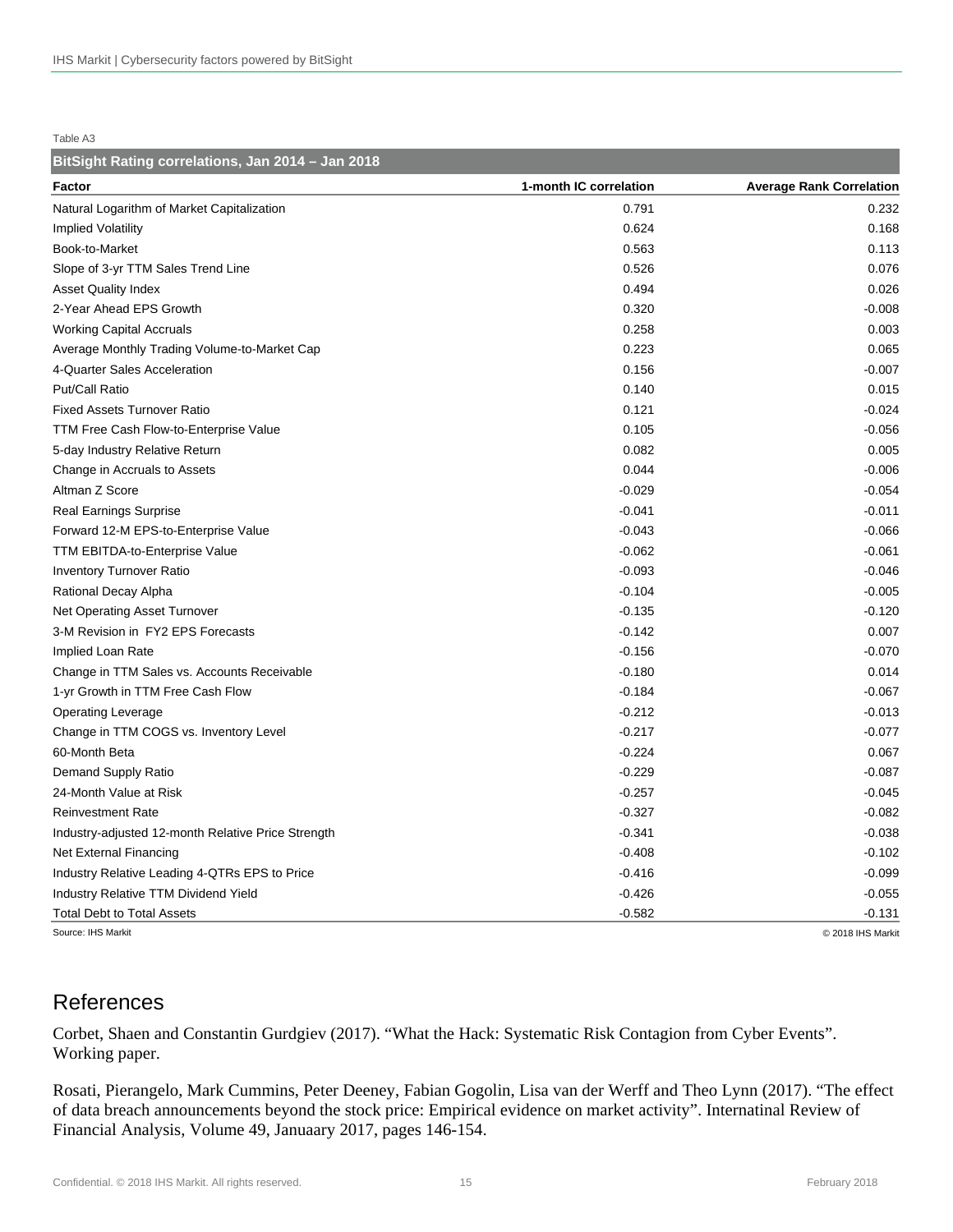Table A3

| BitSight Rating correlations, Jan 2014 - Jan 2018  |                        |                                 |
|----------------------------------------------------|------------------------|---------------------------------|
| Factor                                             | 1-month IC correlation | <b>Average Rank Correlation</b> |
| Natural Logarithm of Market Capitalization         | 0.791                  | 0.232                           |
| <b>Implied Volatility</b>                          | 0.624                  | 0.168                           |
| Book-to-Market                                     | 0.563                  | 0.113                           |
| Slope of 3-yr TTM Sales Trend Line                 | 0.526                  | 0.076                           |
| <b>Asset Quality Index</b>                         | 0.494                  | 0.026                           |
| 2-Year Ahead EPS Growth                            | 0.320                  | $-0.008$                        |
| <b>Working Capital Accruals</b>                    | 0.258                  | 0.003                           |
| Average Monthly Trading Volume-to-Market Cap       | 0.223                  | 0.065                           |
| 4-Quarter Sales Acceleration                       | 0.156                  | $-0.007$                        |
| Put/Call Ratio                                     | 0.140                  | 0.015                           |
| <b>Fixed Assets Turnover Ratio</b>                 | 0.121                  | $-0.024$                        |
| TTM Free Cash Flow-to-Enterprise Value             | 0.105                  | $-0.056$                        |
| 5-day Industry Relative Return                     | 0.082                  | 0.005                           |
| Change in Accruals to Assets                       | 0.044                  | $-0.006$                        |
| Altman Z Score                                     | $-0.029$               | $-0.054$                        |
| <b>Real Earnings Surprise</b>                      | $-0.041$               | $-0.011$                        |
| Forward 12-M EPS-to-Enterprise Value               | $-0.043$               | $-0.066$                        |
| <b>TTM EBITDA-to-Enterprise Value</b>              | $-0.062$               | $-0.061$                        |
| <b>Inventory Turnover Ratio</b>                    | $-0.093$               | $-0.046$                        |
| Rational Decay Alpha                               | $-0.104$               | $-0.005$                        |
| Net Operating Asset Turnover                       | $-0.135$               | $-0.120$                        |
| 3-M Revision in FY2 EPS Forecasts                  | $-0.142$               | 0.007                           |
| Implied Loan Rate                                  | $-0.156$               | $-0.070$                        |
| Change in TTM Sales vs. Accounts Receivable        | $-0.180$               | 0.014                           |
| 1-yr Growth in TTM Free Cash Flow                  | $-0.184$               | $-0.067$                        |
| <b>Operating Leverage</b>                          | $-0.212$               | $-0.013$                        |
| Change in TTM COGS vs. Inventory Level             | $-0.217$               | $-0.077$                        |
| 60-Month Beta                                      | $-0.224$               | 0.067                           |
| Demand Supply Ratio                                | $-0.229$               | $-0.087$                        |
| 24-Month Value at Risk                             | $-0.257$               | $-0.045$                        |
| <b>Reinvestment Rate</b>                           | $-0.327$               | $-0.082$                        |
| Industry-adjusted 12-month Relative Price Strength | $-0.341$               | $-0.038$                        |
| Net External Financing                             | $-0.408$               | $-0.102$                        |
| Industry Relative Leading 4-QTRs EPS to Price      | $-0.416$               | $-0.099$                        |
| <b>Industry Relative TTM Dividend Yield</b>        | $-0.426$               | $-0.055$                        |
| <b>Total Debt to Total Assets</b>                  | $-0.582$               | $-0.131$                        |
| Source: IHS Markit                                 |                        | C 2018 IHS Markit               |

# References

Corbet, Shaen and Constantin Gurdgiev (2017). "What the Hack: Systematic Risk Contagion from Cyber Events". Working paper.

Rosati, Pierangelo, Mark Cummins, Peter Deeney, Fabian Gogolin, Lisa van der Werff and Theo Lynn (2017). "The effect of data breach announcements beyond the stock price: Empirical evidence on market activity". Internatinal Review of Financial Analysis, Volume 49, Januaary 2017, pages 146-154.